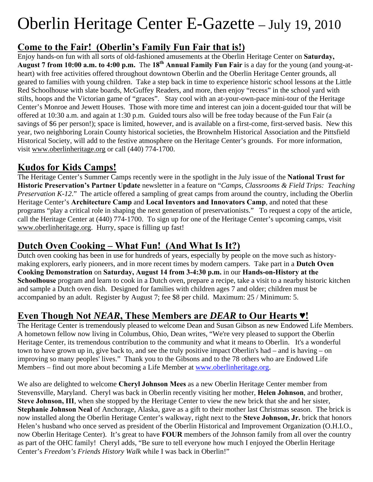# Oberlin Heritage Center E-Gazette – July 19, 2010

# **Come to the Fair! (Oberlin's Family Fun Fair that is!)**

Enjoy hands-on fun with all sorts of old-fashioned amusements at the Oberlin Heritage Center on **Saturday, August 7 from 10:00 a.m. to 4:00 p.m.** The **18th Annual Family Fun Fair** is a day for the young (and young-atheart) with free activities offered throughout downtown Oberlin and the Oberlin Heritage Center grounds, all geared to families with young children. Take a step back in time to experience historic school lessons at the Little Red Schoolhouse with slate boards, McGuffey Readers, and more, then enjoy "recess" in the school yard with stilts, hoops and the Victorian game of "graces". Stay cool with an at-your-own-pace mini-tour of the Heritage Center's Monroe and Jewett Houses. Those with more time and interest can join a docent-guided tour that will be offered at 10:30 a.m. and again at 1:30 p.m. Guided tours also will be free today because of the Fun Fair (a savings of \$6 per person!); space is limited, however, and is available on a first-come, first-served basis. New this year, two neighboring Lorain County historical societies, the Brownhelm Historical Association and the Pittsfield Historical Society, will add to the festive atmosphere on the Heritage Center's grounds. For more information, visit www.oberlinheritage.org or call (440) 774-1700.

# **Kudos for Kids Camps!**

The Heritage Center's Summer Camps recently were in the spotlight in the July issue of the **National Trust for Historic Preservation's Partner Update** newsletter in a feature on "*Camps, Classrooms & Field Trips: Teaching Preservation K-12.*" The article offered a sampling of great camps from around the country, including the Oberlin Heritage Center's **Architecture Camp** and **Local Inventors and Innovators Camp**, and noted that these programs "play a critical role in shaping the next generation of preservationists." To request a copy of the article, call the Heritage Center at (440) 774-1700. To sign up for one of the Heritage Center's upcoming camps, visit www.oberlinheritage.org. Hurry, space is filling up fast!

# **Dutch Oven Cooking – What Fun! (And What Is It?)**

Dutch oven cooking has been in use for hundreds of years, especially by people on the move such as historymaking explorers, early pioneers, and in more recent times by modern campers.Take part in a **Dutch Oven Cooking Demonstration** on **Saturday, August 14 from 3-4:30 p.m.** in our **Hands-on-History at the Schoolhouse** program and learn to cook in a Dutch oven, prepare a recipe, take a visit to a nearby historic kitchen and sample a Dutch oven dish.Designed for families with children ages 7 and older; children must be accompanied by an adult. Register by August 7; fee \$8 per child. Maximum: 25 / Minimum: 5.

#### **Even Though Not** *NEAR***, These Members are** *DEAR* **to Our Hearts ♥!**

The Heritage Center is tremendously pleased to welcome Dean and Susan Gibson as new Endowed Life Members. A hometown fellow now living in Columbus, Ohio, Dean writes, "We're very pleased to support the Oberlin Heritage Center, its tremendous contribution to the community and what it means to Oberlin. It's a wonderful town to have grown up in, give back to, and see the truly positive impact Oberlin's had – and is having – on improving so many peoples' lives." Thank you to the Gibsons and to the 78 others who are Endowed Life Members – find out more about becoming a Life Member at www.oberlinheritage.org.

We also are delighted to welcome **Cheryl Johnson Mees** as a new Oberlin Heritage Center member from Stevensville, Maryland. Cheryl was back in Oberlin recently visiting her mother, **Helen Johnson**, and brother, **Steve Johnson, III**, when she stopped by the Heritage Center to view the new brick that she and her sister, **Stephanie Johnson Neal** of Anchorage, Alaska, gave as a gift to their mother last Christmas season. The brick is now installed along the Oberlin Heritage Center's walkway, right next to the **Steve Johnson, Jr.** brick that honors Helen's husband who once served as president of the Oberlin Historical and Improvement Organization (O.H.I.O., now Oberlin Heritage Center). It's great to have **FOUR** members of the Johnson family from all over the country as part of the OHC family! Cheryl adds, "Be sure to tell everyone how much I enjoyed the Oberlin Heritage Center's *Freedom's Friends History Walk* while I was back in Oberlin!"